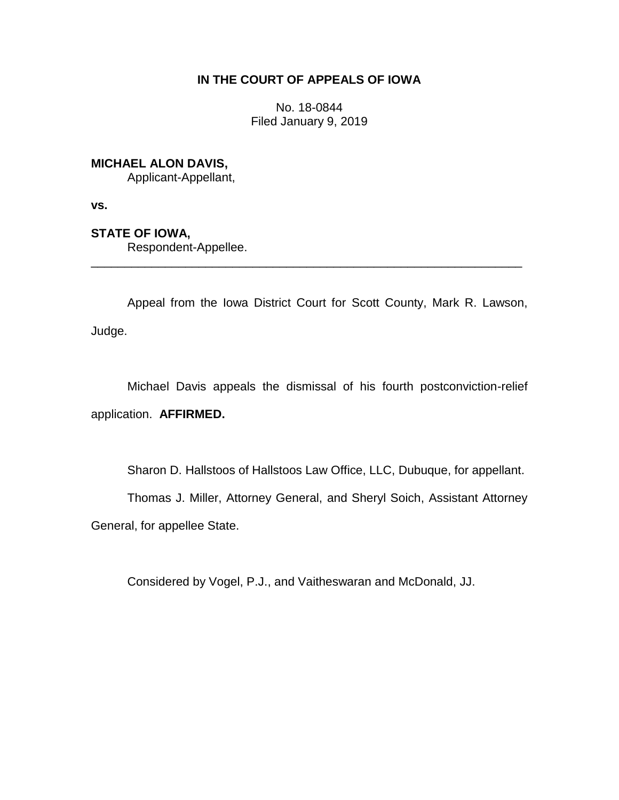# **IN THE COURT OF APPEALS OF IOWA**

No. 18-0844 Filed January 9, 2019

# **MICHAEL ALON DAVIS,**

Applicant-Appellant,

**vs.**

# **STATE OF IOWA,**

Respondent-Appellee.

Appeal from the Iowa District Court for Scott County, Mark R. Lawson, Judge.

\_\_\_\_\_\_\_\_\_\_\_\_\_\_\_\_\_\_\_\_\_\_\_\_\_\_\_\_\_\_\_\_\_\_\_\_\_\_\_\_\_\_\_\_\_\_\_\_\_\_\_\_\_\_\_\_\_\_\_\_\_\_\_\_

Michael Davis appeals the dismissal of his fourth postconviction-relief application. **AFFIRMED.**

Sharon D. Hallstoos of Hallstoos Law Office, LLC, Dubuque, for appellant.

Thomas J. Miller, Attorney General, and Sheryl Soich, Assistant Attorney

General, for appellee State.

Considered by Vogel, P.J., and Vaitheswaran and McDonald, JJ.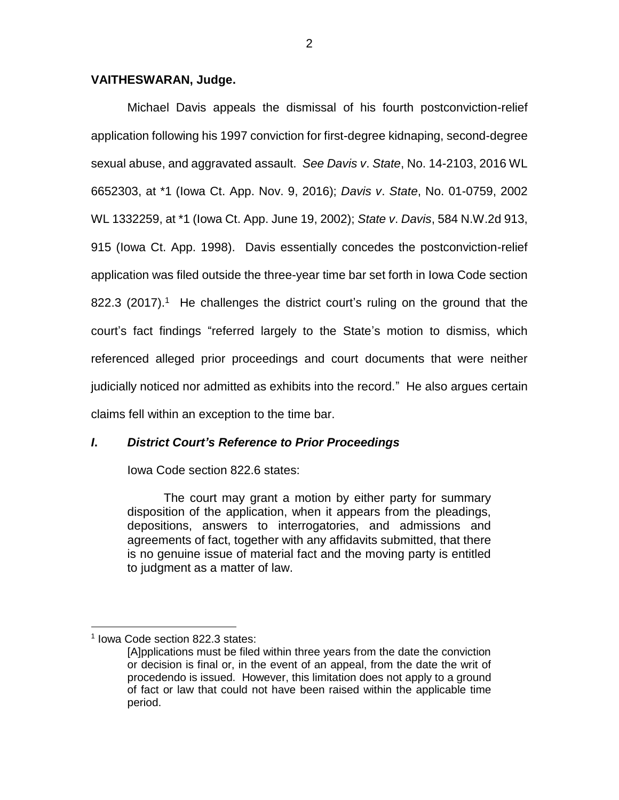### **VAITHESWARAN, Judge.**

Michael Davis appeals the dismissal of his fourth postconviction-relief application following his 1997 conviction for first-degree kidnaping, second-degree sexual abuse, and aggravated assault. *See Davis v*. *State*, No. 14-2103, 2016 WL 6652303, at \*1 (Iowa Ct. App. Nov. 9, 2016); *Davis v*. *State*, No. 01-0759, 2002 WL 1332259, at \*1 (Iowa Ct. App. June 19, 2002); *State v*. *Davis*, 584 N.W.2d 913, 915 (Iowa Ct. App. 1998). Davis essentially concedes the postconviction-relief application was filed outside the three-year time bar set forth in Iowa Code section 822.3 (2017).<sup>1</sup> He challenges the district court's ruling on the ground that the court's fact findings "referred largely to the State's motion to dismiss, which referenced alleged prior proceedings and court documents that were neither judicially noticed nor admitted as exhibits into the record." He also argues certain claims fell within an exception to the time bar.

# *I***.** *District Court's Reference to Prior Proceedings*

Iowa Code section 822.6 states:

The court may grant a motion by either party for summary disposition of the application, when it appears from the pleadings, depositions, answers to interrogatories, and admissions and agreements of fact, together with any affidavits submitted, that there is no genuine issue of material fact and the moving party is entitled to judgment as a matter of law.

 $\overline{a}$ 1 Iowa Code section 822.3 states:

<sup>[</sup>A]pplications must be filed within three years from the date the conviction or decision is final or, in the event of an appeal, from the date the writ of procedendo is issued. However, this limitation does not apply to a ground of fact or law that could not have been raised within the applicable time period.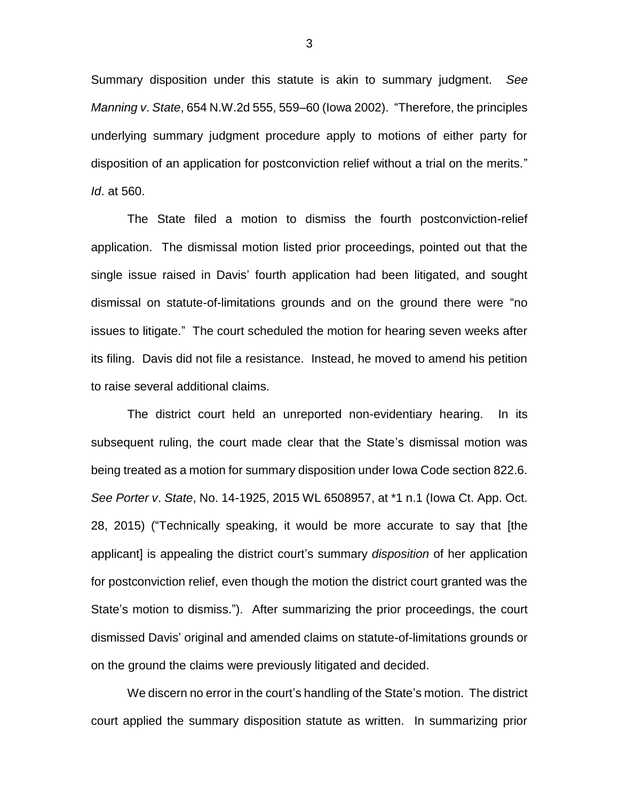Summary disposition under this statute is akin to summary judgment. *See Manning v*. *State*, 654 N.W.2d 555, 559–60 (Iowa 2002). "Therefore, the principles underlying summary judgment procedure apply to motions of either party for disposition of an application for postconviction relief without a trial on the merits." *Id*. at 560.

The State filed a motion to dismiss the fourth postconviction-relief application. The dismissal motion listed prior proceedings, pointed out that the single issue raised in Davis' fourth application had been litigated, and sought dismissal on statute-of-limitations grounds and on the ground there were "no issues to litigate." The court scheduled the motion for hearing seven weeks after its filing. Davis did not file a resistance. Instead, he moved to amend his petition to raise several additional claims.

The district court held an unreported non-evidentiary hearing. In its subsequent ruling, the court made clear that the State's dismissal motion was being treated as a motion for summary disposition under Iowa Code section 822.6. *See Porter v*. *State*, No. 14-1925, 2015 WL 6508957, at \*1 n.1 (Iowa Ct. App. Oct. 28, 2015) ("Technically speaking, it would be more accurate to say that [the applicant] is appealing the district court's summary *disposition* of her application for postconviction relief, even though the motion the district court granted was the State's motion to dismiss."). After summarizing the prior proceedings, the court dismissed Davis' original and amended claims on statute-of-limitations grounds or on the ground the claims were previously litigated and decided.

We discern no error in the court's handling of the State's motion. The district court applied the summary disposition statute as written. In summarizing prior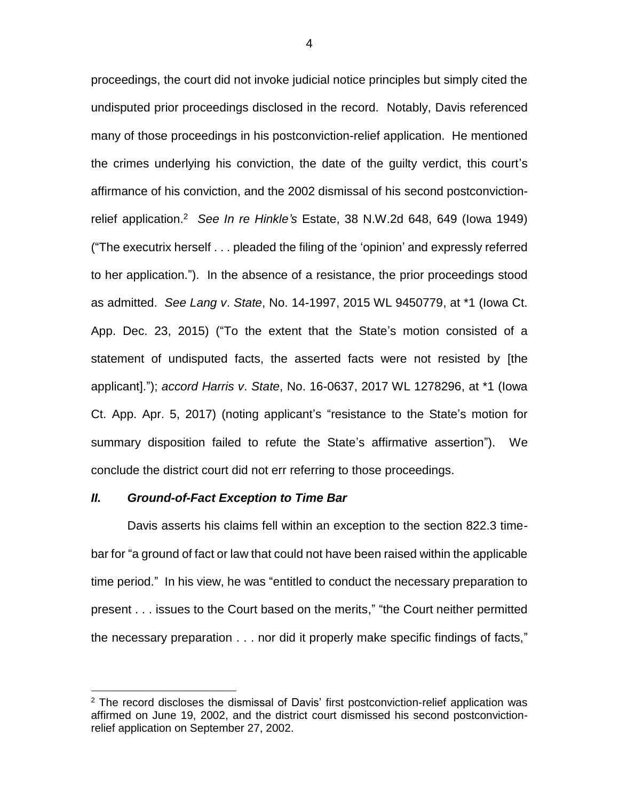proceedings, the court did not invoke judicial notice principles but simply cited the undisputed prior proceedings disclosed in the record. Notably, Davis referenced many of those proceedings in his postconviction-relief application. He mentioned the crimes underlying his conviction, the date of the guilty verdict, this court's affirmance of his conviction, and the 2002 dismissal of his second postconvictionrelief application.<sup>2</sup> *See In re Hinkle's* Estate, 38 N.W.2d 648, 649 (Iowa 1949) ("The executrix herself . . . pleaded the filing of the 'opinion' and expressly referred to her application."). In the absence of a resistance, the prior proceedings stood as admitted. *See Lang v*. *State*, No. 14-1997, 2015 WL 9450779, at \*1 (Iowa Ct. App. Dec. 23, 2015) ("To the extent that the State's motion consisted of a statement of undisputed facts, the asserted facts were not resisted by [the applicant]."); *accord Harris v*. *State*, No. 16-0637, 2017 WL 1278296, at \*1 (Iowa Ct. App. Apr. 5, 2017) (noting applicant's "resistance to the State's motion for summary disposition failed to refute the State's affirmative assertion"). We conclude the district court did not err referring to those proceedings.

#### *II. Ground-of-Fact Exception to Time Bar*

 $\overline{a}$ 

Davis asserts his claims fell within an exception to the section 822.3 timebar for "a ground of fact or law that could not have been raised within the applicable time period." In his view, he was "entitled to conduct the necessary preparation to present . . . issues to the Court based on the merits," "the Court neither permitted the necessary preparation . . . nor did it properly make specific findings of facts,"

 $2$  The record discloses the dismissal of Davis' first postconviction-relief application was affirmed on June 19, 2002, and the district court dismissed his second postconvictionrelief application on September 27, 2002.